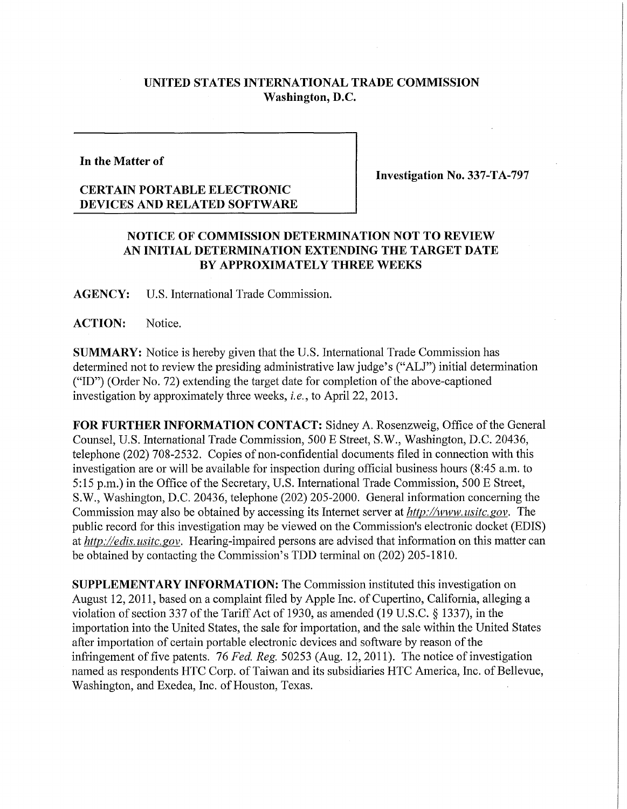## **UNITED STATES INTERNATIONAL TRADE COMMISSION Washington, D.C.**

**In the Matter of** 

## **CERTAIN PORTABLE ELECTRONIC DEVICES AND RELATED SOFTWARE**

**Investigation No. 337-TA-797** 

## **NOTICE OF COMMISSION DETERMINATION NOT TO REVIEW AN INITIAL DETERMINATION EXTENDING THE TARGET DATE BY APPROXIMATELY THREE WEEKS**

**AGENCY:** U**.S.** International Trade Commission.

ACTION: Notice.

**SUMMARY:** Notice is hereby given that the U.S. International Trade Commission has determined not to review the presiding administrative law judge's ("ALJ") initial determination ("ID") (Order No. 72) extending the target date for completion of the above-captioned investigation by approximately three weeks, *i.e.,* to April 22, 2013.

**FOR FURTHER INFORMATION CONTACT:** Sidney A. Rosenzweig, Office of the General Counsel, U.S. International Trade Commission, 500 E Street, S.W., Washington, D.C. 20436, telephone (202) 708-2532. Copies of non-confidential documents filed in connection with this investigation are or will be available for inspection during official business hours (8:45 a.m. to 5:15 p.m.) in the Office of the Secretary, U.S. International Trade Commission, 500 E Street, S.W., Washington, D.C. 20436, telephone (202) 205-2000. General information concerning the Commission may also be obtained by accessing its Internet server at *hftp://www, usitc. gov.* The public record for this investigation may be viewed on the Commission's electronic docket (EDIS) at *http://edis. usitc. gov.* Hearing-impaired persons are advised that information on this matter can be obtained by contacting the Commission's TDD terminal on (202) 205-1810.

**SUPPLEMENTARY INFORMATION:** The Commission instituted this investigation on August 12,2011, based on a complaint filed by Apple Inc. of Cupertino, California, alleging a violation of section 337 of the Tariff Act of 1930, as amended (19 U.S.C. § 1337), in the importation into the United States, the sale for importation, and the sale within the United States after importation of certain portable electronic devices and software by reason of the infringement of five patents. 76 *Fed. Reg.* 50253 (Aug. 12, 2011). The notice of investigation named as respondents HTC Corp. of Taiwan and its subsidiaries HTC America, Inc. of Bellevue, Washington, and Exedea, Inc. of Houston, Texas.